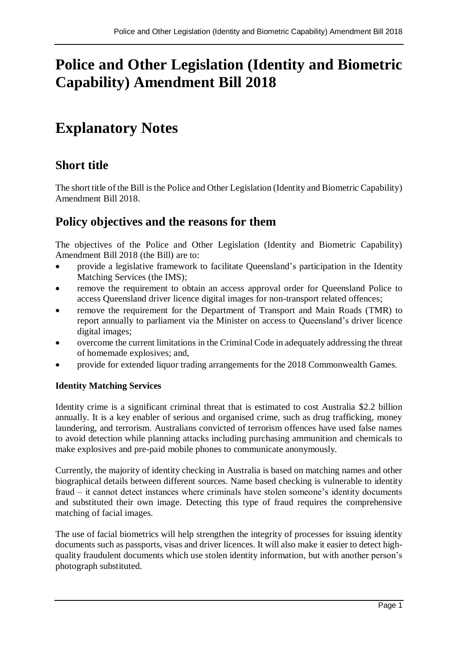# **Police and Other Legislation (Identity and Biometric Capability) Amendment Bill 2018**

# **Explanatory Notes**

## **Short title**

The short title of the Bill is the Police and Other Legislation (Identity and Biometric Capability) Amendment Bill 2018.

## **Policy objectives and the reasons for them**

The objectives of the Police and Other Legislation (Identity and Biometric Capability) Amendment Bill 2018 (the Bill) are to:

- provide a legislative framework to facilitate Queensland's participation in the Identity Matching Services (the IMS);
- remove the requirement to obtain an access approval order for Queensland Police to access Queensland driver licence digital images for non-transport related offences;
- remove the requirement for the Department of Transport and Main Roads (TMR) to report annually to parliament via the Minister on access to Queensland's driver licence digital images;
- overcome the current limitations in the Criminal Code in adequately addressing the threat of homemade explosives; and,
- provide for extended liquor trading arrangements for the 2018 Commonwealth Games.

## **Identity Matching Services**

Identity crime is a significant criminal threat that is estimated to cost Australia \$2.2 billion annually. It is a key enabler of serious and organised crime, such as drug trafficking, money laundering, and terrorism. Australians convicted of terrorism offences have used false names to avoid detection while planning attacks including purchasing ammunition and chemicals to make explosives and pre-paid mobile phones to communicate anonymously.

Currently, the majority of identity checking in Australia is based on matching names and other biographical details between different sources. Name based checking is vulnerable to identity fraud – it cannot detect instances where criminals have stolen someone's identity documents and substituted their own image. Detecting this type of fraud requires the comprehensive matching of facial images.

The use of facial biometrics will help strengthen the integrity of processes for issuing identity documents such as passports, visas and driver licences. It will also make it easier to detect highquality fraudulent documents which use stolen identity information, but with another person's photograph substituted.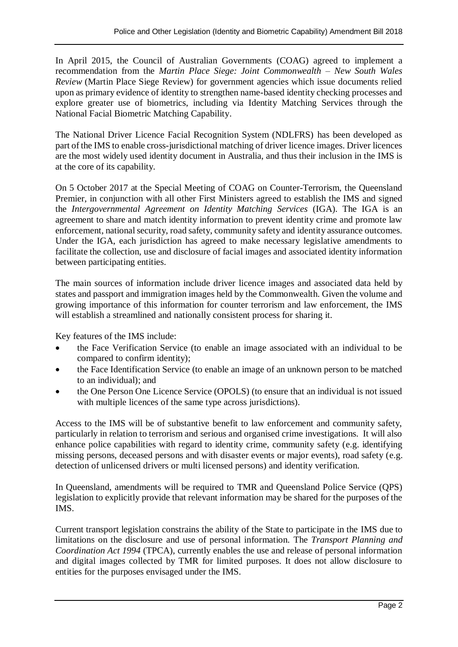In April 2015, the Council of Australian Governments (COAG) agreed to implement a recommendation from the *Martin Place Siege: Joint Commonwealth – New South Wales Review* (Martin Place Siege Review) for government agencies which issue documents relied upon as primary evidence of identity to strengthen name-based identity checking processes and explore greater use of biometrics, including via Identity Matching Services through the National Facial Biometric Matching Capability.

The National Driver Licence Facial Recognition System (NDLFRS) has been developed as part of the IMS to enable cross-jurisdictional matching of driver licence images. Driver licences are the most widely used identity document in Australia, and thus their inclusion in the IMS is at the core of its capability.

On 5 October 2017 at the Special Meeting of COAG on Counter-Terrorism, the Queensland Premier, in conjunction with all other First Ministers agreed to establish the IMS and signed the *Intergovernmental Agreement on Identity Matching Services* (IGA). The IGA is an agreement to share and match identity information to prevent identity crime and promote law enforcement, national security, road safety, community safety and identity assurance outcomes. Under the IGA, each jurisdiction has agreed to make necessary legislative amendments to facilitate the collection, use and disclosure of facial images and associated identity information between participating entities.

The main sources of information include driver licence images and associated data held by states and passport and immigration images held by the Commonwealth. Given the volume and growing importance of this information for counter terrorism and law enforcement, the IMS will establish a streamlined and nationally consistent process for sharing it.

Key features of the IMS include:

- the Face Verification Service (to enable an image associated with an individual to be compared to confirm identity);
- the Face Identification Service (to enable an image of an unknown person to be matched to an individual); and
- the One Person One Licence Service (OPOLS) (to ensure that an individual is not issued with multiple licences of the same type across jurisdictions).

Access to the IMS will be of substantive benefit to law enforcement and community safety, particularly in relation to terrorism and serious and organised crime investigations. It will also enhance police capabilities with regard to identity crime, community safety (e.g. identifying missing persons, deceased persons and with disaster events or major events), road safety (e.g. detection of unlicensed drivers or multi licensed persons) and identity verification.

In Queensland, amendments will be required to TMR and Queensland Police Service (QPS) legislation to explicitly provide that relevant information may be shared for the purposes of the IMS.

Current transport legislation constrains the ability of the State to participate in the IMS due to limitations on the disclosure and use of personal information. The *Transport Planning and Coordination Act 1994* (TPCA), currently enables the use and release of personal information and digital images collected by TMR for limited purposes. It does not allow disclosure to entities for the purposes envisaged under the IMS.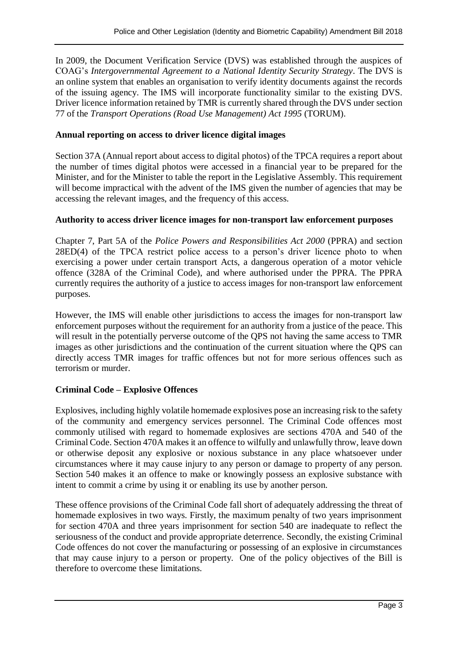In 2009, the Document Verification Service (DVS) was established through the auspices of COAG's *Intergovernmental Agreement to a National Identity Security Strategy*. The DVS is an online system that enables an organisation to verify identity documents against the records of the issuing agency. The IMS will incorporate functionality similar to the existing DVS. Driver licence information retained by TMR is currently shared through the DVS under section 77 of the *Transport Operations (Road Use Management) Act 1995* (TORUM).

## **Annual reporting on access to driver licence digital images**

Section 37A (Annual report about access to digital photos) of the TPCA requires a report about the number of times digital photos were accessed in a financial year to be prepared for the Minister, and for the Minister to table the report in the Legislative Assembly. This requirement will become impractical with the advent of the IMS given the number of agencies that may be accessing the relevant images, and the frequency of this access.

## **Authority to access driver licence images for non-transport law enforcement purposes**

Chapter 7, Part 5A of the *Police Powers and Responsibilities Act 2000* (PPRA) and section 28ED(4) of the TPCA restrict police access to a person's driver licence photo to when exercising a power under certain transport Acts, a dangerous operation of a motor vehicle offence (328A of the Criminal Code), and where authorised under the PPRA. The PPRA currently requires the authority of a justice to access images for non-transport law enforcement purposes.

However, the IMS will enable other jurisdictions to access the images for non-transport law enforcement purposes without the requirement for an authority from a justice of the peace. This will result in the potentially perverse outcome of the QPS not having the same access to TMR images as other jurisdictions and the continuation of the current situation where the QPS can directly access TMR images for traffic offences but not for more serious offences such as terrorism or murder.

## **Criminal Code – Explosive Offences**

Explosives, including highly volatile homemade explosives pose an increasing risk to the safety of the community and emergency services personnel. The Criminal Code offences most commonly utilised with regard to homemade explosives are sections 470A and 540 of the Criminal Code. Section 470A makes it an offence to wilfully and unlawfully throw, leave down or otherwise deposit any explosive or noxious substance in any place whatsoever under circumstances where it may cause injury to any person or damage to property of any person. Section 540 makes it an offence to make or knowingly possess an explosive substance with intent to commit a crime by using it or enabling its use by another person.

These offence provisions of the Criminal Code fall short of adequately addressing the threat of homemade explosives in two ways. Firstly, the maximum penalty of two years imprisonment for section 470A and three years imprisonment for section 540 are inadequate to reflect the seriousness of the conduct and provide appropriate deterrence. Secondly, the existing Criminal Code offences do not cover the manufacturing or possessing of an explosive in circumstances that may cause injury to a person or property. One of the policy objectives of the Bill is therefore to overcome these limitations.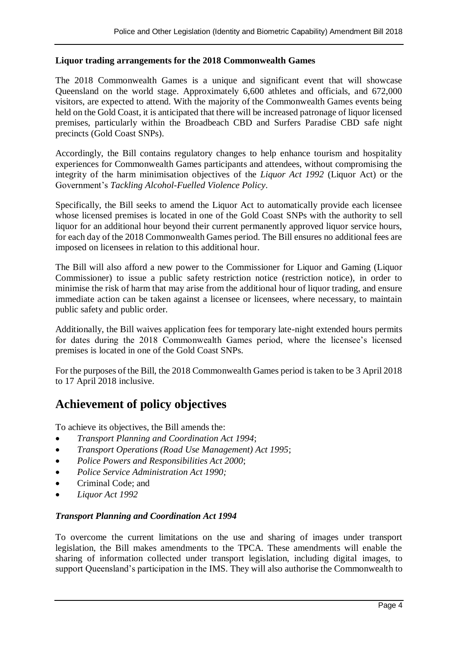#### **Liquor trading arrangements for the 2018 Commonwealth Games**

The 2018 Commonwealth Games is a unique and significant event that will showcase Queensland on the world stage. Approximately 6,600 athletes and officials, and 672,000 visitors, are expected to attend. With the majority of the Commonwealth Games events being held on the Gold Coast, it is anticipated that there will be increased patronage of liquor licensed premises, particularly within the Broadbeach CBD and Surfers Paradise CBD safe night precincts (Gold Coast SNPs).

Accordingly, the Bill contains regulatory changes to help enhance tourism and hospitality experiences for Commonwealth Games participants and attendees, without compromising the integrity of the harm minimisation objectives of the *Liquor Act 1992* (Liquor Act) or the Government's *Tackling Alcohol-Fuelled Violence Policy*.

Specifically, the Bill seeks to amend the Liquor Act to automatically provide each licensee whose licensed premises is located in one of the Gold Coast SNPs with the authority to sell liquor for an additional hour beyond their current permanently approved liquor service hours, for each day of the 2018 Commonwealth Games period. The Bill ensures no additional fees are imposed on licensees in relation to this additional hour.

The Bill will also afford a new power to the Commissioner for Liquor and Gaming (Liquor Commissioner) to issue a public safety restriction notice (restriction notice), in order to minimise the risk of harm that may arise from the additional hour of liquor trading, and ensure immediate action can be taken against a licensee or licensees, where necessary, to maintain public safety and public order.

Additionally, the Bill waives application fees for temporary late-night extended hours permits for dates during the 2018 Commonwealth Games period, where the licensee's licensed premises is located in one of the Gold Coast SNPs.

For the purposes of the Bill, the 2018 Commonwealth Games period is taken to be 3 April 2018 to 17 April 2018 inclusive.

## **Achievement of policy objectives**

To achieve its objectives, the Bill amends the:

- *Transport Planning and Coordination Act 1994*;
- *Transport Operations (Road Use Management) Act 1995*;
- *Police Powers and Responsibilities Act 2000*;
- *Police Service Administration Act 1990;*
- Criminal Code; and
- *Liquor Act 1992*

#### *Transport Planning and Coordination Act 1994*

To overcome the current limitations on the use and sharing of images under transport legislation, the Bill makes amendments to the TPCA. These amendments will enable the sharing of information collected under transport legislation, including digital images, to support Queensland's participation in the IMS. They will also authorise the Commonwealth to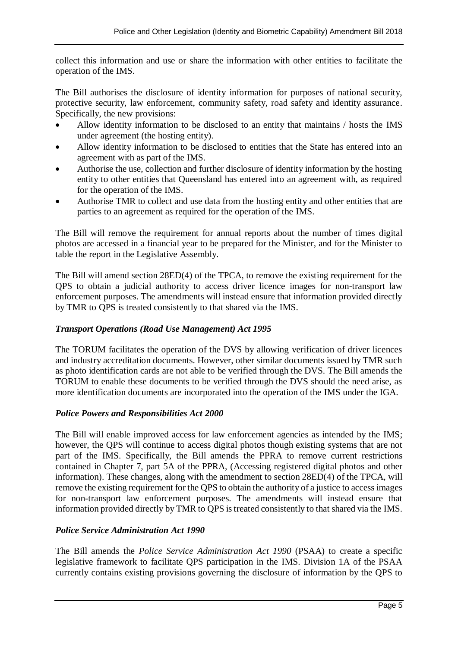collect this information and use or share the information with other entities to facilitate the operation of the IMS.

The Bill authorises the disclosure of identity information for purposes of national security, protective security, law enforcement, community safety, road safety and identity assurance. Specifically, the new provisions:

- Allow identity information to be disclosed to an entity that maintains / hosts the IMS under agreement (the hosting entity).
- Allow identity information to be disclosed to entities that the State has entered into an agreement with as part of the IMS.
- Authorise the use, collection and further disclosure of identity information by the hosting entity to other entities that Queensland has entered into an agreement with, as required for the operation of the IMS.
- Authorise TMR to collect and use data from the hosting entity and other entities that are parties to an agreement as required for the operation of the IMS.

The Bill will remove the requirement for annual reports about the number of times digital photos are accessed in a financial year to be prepared for the Minister, and for the Minister to table the report in the Legislative Assembly.

The Bill will amend section 28ED(4) of the TPCA, to remove the existing requirement for the QPS to obtain a judicial authority to access driver licence images for non-transport law enforcement purposes. The amendments will instead ensure that information provided directly by TMR to QPS is treated consistently to that shared via the IMS.

## *Transport Operations (Road Use Management) Act 1995*

The TORUM facilitates the operation of the DVS by allowing verification of driver licences and industry accreditation documents. However, other similar documents issued by TMR such as photo identification cards are not able to be verified through the DVS. The Bill amends the TORUM to enable these documents to be verified through the DVS should the need arise, as more identification documents are incorporated into the operation of the IMS under the IGA.

## *Police Powers and Responsibilities Act 2000*

The Bill will enable improved access for law enforcement agencies as intended by the IMS; however, the QPS will continue to access digital photos though existing systems that are not part of the IMS. Specifically, the Bill amends the PPRA to remove current restrictions contained in Chapter 7, part 5A of the PPRA, (Accessing registered digital photos and other information). These changes, along with the amendment to section 28ED(4) of the TPCA, will remove the existing requirement for the QPS to obtain the authority of a justice to access images for non-transport law enforcement purposes. The amendments will instead ensure that information provided directly by TMR to QPS is treated consistently to that shared via the IMS.

## *Police Service Administration Act 1990*

The Bill amends the *Police Service Administration Act 1990* (PSAA) to create a specific legislative framework to facilitate QPS participation in the IMS. Division 1A of the PSAA currently contains existing provisions governing the disclosure of information by the QPS to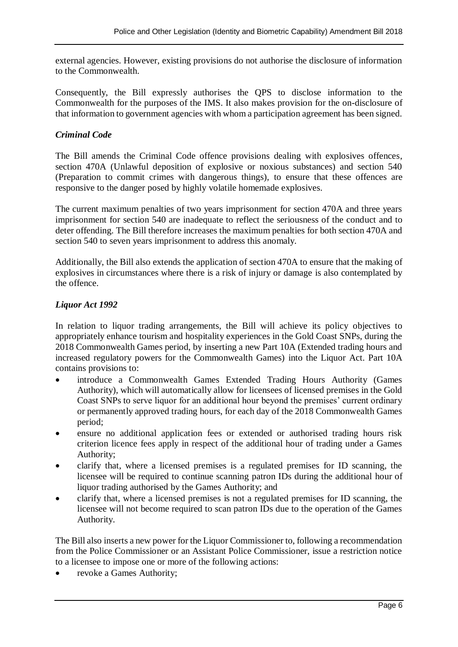external agencies. However, existing provisions do not authorise the disclosure of information to the Commonwealth.

Consequently, the Bill expressly authorises the QPS to disclose information to the Commonwealth for the purposes of the IMS. It also makes provision for the on-disclosure of that information to government agencies with whom a participation agreement has been signed.

## *Criminal Code*

The Bill amends the Criminal Code offence provisions dealing with explosives offences, section 470A (Unlawful deposition of explosive or noxious substances) and section 540 (Preparation to commit crimes with dangerous things), to ensure that these offences are responsive to the danger posed by highly volatile homemade explosives.

The current maximum penalties of two years imprisonment for section 470A and three years imprisonment for section 540 are inadequate to reflect the seriousness of the conduct and to deter offending. The Bill therefore increases the maximum penalties for both section 470A and section 540 to seven years imprisonment to address this anomaly.

Additionally, the Bill also extends the application of section 470A to ensure that the making of explosives in circumstances where there is a risk of injury or damage is also contemplated by the offence.

## *Liquor Act 1992*

In relation to liquor trading arrangements, the Bill will achieve its policy objectives to appropriately enhance tourism and hospitality experiences in the Gold Coast SNPs, during the 2018 Commonwealth Games period, by inserting a new Part 10A (Extended trading hours and increased regulatory powers for the Commonwealth Games) into the Liquor Act. Part 10A contains provisions to:

- introduce a Commonwealth Games Extended Trading Hours Authority (Games Authority), which will automatically allow for licensees of licensed premises in the Gold Coast SNPs to serve liquor for an additional hour beyond the premises' current ordinary or permanently approved trading hours, for each day of the 2018 Commonwealth Games period;
- ensure no additional application fees or extended or authorised trading hours risk criterion licence fees apply in respect of the additional hour of trading under a Games Authority;
- clarify that, where a licensed premises is a regulated premises for ID scanning, the licensee will be required to continue scanning patron IDs during the additional hour of liquor trading authorised by the Games Authority; and
- clarify that, where a licensed premises is not a regulated premises for ID scanning, the licensee will not become required to scan patron IDs due to the operation of the Games Authority.

The Bill also inserts a new power for the Liquor Commissioner to, following a recommendation from the Police Commissioner or an Assistant Police Commissioner, issue a restriction notice to a licensee to impose one or more of the following actions:

revoke a Games Authority;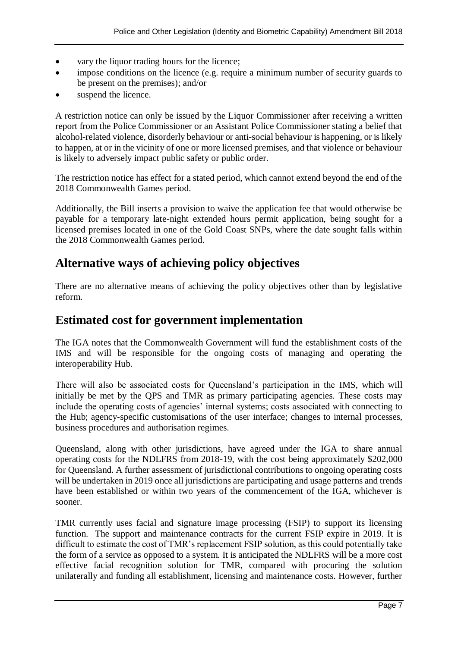- vary the liquor trading hours for the licence;
- impose conditions on the licence (e.g. require a minimum number of security guards to be present on the premises); and/or
- suspend the licence.

A restriction notice can only be issued by the Liquor Commissioner after receiving a written report from the Police Commissioner or an Assistant Police Commissioner stating a belief that alcohol-related violence, disorderly behaviour or anti-social behaviour is happening, or is likely to happen, at or in the vicinity of one or more licensed premises, and that violence or behaviour is likely to adversely impact public safety or public order.

The restriction notice has effect for a stated period, which cannot extend beyond the end of the 2018 Commonwealth Games period.

Additionally, the Bill inserts a provision to waive the application fee that would otherwise be payable for a temporary late-night extended hours permit application, being sought for a licensed premises located in one of the Gold Coast SNPs, where the date sought falls within the 2018 Commonwealth Games period.

## **Alternative ways of achieving policy objectives**

There are no alternative means of achieving the policy objectives other than by legislative reform.

## **Estimated cost for government implementation**

The IGA notes that the Commonwealth Government will fund the establishment costs of the IMS and will be responsible for the ongoing costs of managing and operating the interoperability Hub.

There will also be associated costs for Queensland's participation in the IMS, which will initially be met by the QPS and TMR as primary participating agencies. These costs may include the operating costs of agencies' internal systems; costs associated with connecting to the Hub; agency-specific customisations of the user interface; changes to internal processes, business procedures and authorisation regimes.

Queensland, along with other jurisdictions, have agreed under the IGA to share annual operating costs for the NDLFRS from 2018-19, with the cost being approximately \$202,000 for Queensland. A further assessment of jurisdictional contributions to ongoing operating costs will be undertaken in 2019 once all jurisdictions are participating and usage patterns and trends have been established or within two years of the commencement of the IGA, whichever is sooner.

TMR currently uses facial and signature image processing (FSIP) to support its licensing function. The support and maintenance contracts for the current FSIP expire in 2019. It is difficult to estimate the cost of TMR's replacement FSIP solution, as this could potentially take the form of a service as opposed to a system. It is anticipated the NDLFRS will be a more cost effective facial recognition solution for TMR, compared with procuring the solution unilaterally and funding all establishment, licensing and maintenance costs. However, further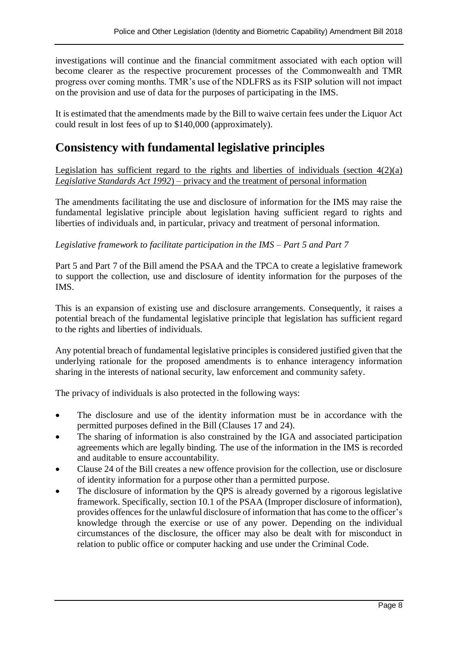investigations will continue and the financial commitment associated with each option will become clearer as the respective procurement processes of the Commonwealth and TMR progress over coming months. TMR's use of the NDLFRS as its FSIP solution will not impact on the provision and use of data for the purposes of participating in the IMS.

It is estimated that the amendments made by the Bill to waive certain fees under the Liquor Act could result in lost fees of up to \$140,000 (approximately).

## **Consistency with fundamental legislative principles**

Legislation has sufficient regard to the rights and liberties of individuals (section  $4(2)(a)$ ) *Legislative Standards Act 1992*) – privacy and the treatment of personal information

The amendments facilitating the use and disclosure of information for the IMS may raise the fundamental legislative principle about legislation having sufficient regard to rights and liberties of individuals and, in particular, privacy and treatment of personal information.

#### *Legislative framework to facilitate participation in the IMS – Part 5 and Part 7*

Part 5 and Part 7 of the Bill amend the PSAA and the TPCA to create a legislative framework to support the collection, use and disclosure of identity information for the purposes of the IMS.

This is an expansion of existing use and disclosure arrangements. Consequently, it raises a potential breach of the fundamental legislative principle that legislation has sufficient regard to the rights and liberties of individuals.

Any potential breach of fundamental legislative principles is considered justified given that the underlying rationale for the proposed amendments is to enhance interagency information sharing in the interests of national security, law enforcement and community safety.

The privacy of individuals is also protected in the following ways:

- The disclosure and use of the identity information must be in accordance with the permitted purposes defined in the Bill (Clauses 17 and 24).
- The sharing of information is also constrained by the IGA and associated participation agreements which are legally binding. The use of the information in the IMS is recorded and auditable to ensure accountability.
- Clause 24 of the Bill creates a new offence provision for the collection, use or disclosure of identity information for a purpose other than a permitted purpose.
- The disclosure of information by the QPS is already governed by a rigorous legislative framework. Specifically, section 10.1 of the PSAA (Improper disclosure of information), provides offences for the unlawful disclosure of information that has come to the officer's knowledge through the exercise or use of any power. Depending on the individual circumstances of the disclosure, the officer may also be dealt with for misconduct in relation to public office or computer hacking and use under the Criminal Code.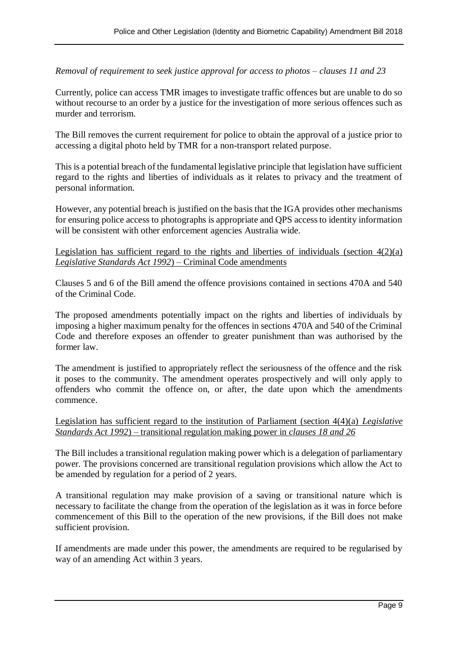*Removal of requirement to seek justice approval for access to photos – clauses 11 and 23*

Currently, police can access TMR images to investigate traffic offences but are unable to do so without recourse to an order by a justice for the investigation of more serious offences such as murder and terrorism.

The Bill removes the current requirement for police to obtain the approval of a justice prior to accessing a digital photo held by TMR for a non-transport related purpose.

This is a potential breach of the fundamental legislative principle that legislation have sufficient regard to the rights and liberties of individuals as it relates to privacy and the treatment of personal information.

However, any potential breach is justified on the basis that the IGA provides other mechanisms for ensuring police access to photographs is appropriate and QPS access to identity information will be consistent with other enforcement agencies Australia wide.

#### Legislation has sufficient regard to the rights and liberties of individuals (section  $4(2)(a)$ ) *Legislative Standards Act 1992*) – Criminal Code amendments

Clauses 5 and 6 of the Bill amend the offence provisions contained in sections 470A and 540 of the Criminal Code.

The proposed amendments potentially impact on the rights and liberties of individuals by imposing a higher maximum penalty for the offences in sections 470A and 540 of the Criminal Code and therefore exposes an offender to greater punishment than was authorised by the former law.

The amendment is justified to appropriately reflect the seriousness of the offence and the risk it poses to the community. The amendment operates prospectively and will only apply to offenders who commit the offence on, or after, the date upon which the amendments commence.

#### Legislation has sufficient regard to the institution of Parliament (section 4(4)(a) *Legislative Standards Act 1992*) – transitional regulation making power in *clauses 18 and 26*

The Bill includes a transitional regulation making power which is a delegation of parliamentary power. The provisions concerned are transitional regulation provisions which allow the Act to be amended by regulation for a period of 2 years.

A transitional regulation may make provision of a saving or transitional nature which is necessary to facilitate the change from the operation of the legislation as it was in force before commencement of this Bill to the operation of the new provisions, if the Bill does not make sufficient provision.

If amendments are made under this power, the amendments are required to be regularised by way of an amending Act within 3 years.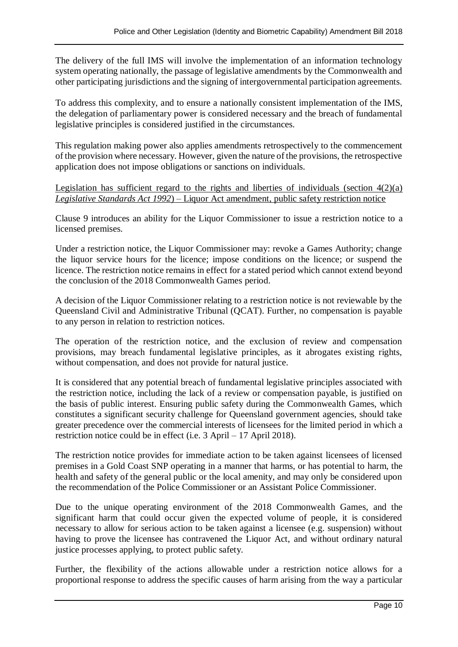The delivery of the full IMS will involve the implementation of an information technology system operating nationally, the passage of legislative amendments by the Commonwealth and other participating jurisdictions and the signing of intergovernmental participation agreements.

To address this complexity, and to ensure a nationally consistent implementation of the IMS, the delegation of parliamentary power is considered necessary and the breach of fundamental legislative principles is considered justified in the circumstances.

This regulation making power also applies amendments retrospectively to the commencement of the provision where necessary. However, given the nature of the provisions, the retrospective application does not impose obligations or sanctions on individuals.

Legislation has sufficient regard to the rights and liberties of individuals (section  $4(2)(a)$ ) *Legislative Standards Act 1992*) *–* Liquor Act amendment, public safety restriction notice

Clause 9 introduces an ability for the Liquor Commissioner to issue a restriction notice to a licensed premises.

Under a restriction notice, the Liquor Commissioner may: revoke a Games Authority; change the liquor service hours for the licence; impose conditions on the licence; or suspend the licence. The restriction notice remains in effect for a stated period which cannot extend beyond the conclusion of the 2018 Commonwealth Games period.

A decision of the Liquor Commissioner relating to a restriction notice is not reviewable by the Queensland Civil and Administrative Tribunal (QCAT). Further, no compensation is payable to any person in relation to restriction notices.

The operation of the restriction notice, and the exclusion of review and compensation provisions, may breach fundamental legislative principles, as it abrogates existing rights, without compensation, and does not provide for natural justice.

It is considered that any potential breach of fundamental legislative principles associated with the restriction notice, including the lack of a review or compensation payable, is justified on the basis of public interest. Ensuring public safety during the Commonwealth Games, which constitutes a significant security challenge for Queensland government agencies, should take greater precedence over the commercial interests of licensees for the limited period in which a restriction notice could be in effect (i.e. 3 April – 17 April 2018).

The restriction notice provides for immediate action to be taken against licensees of licensed premises in a Gold Coast SNP operating in a manner that harms, or has potential to harm, the health and safety of the general public or the local amenity, and may only be considered upon the recommendation of the Police Commissioner or an Assistant Police Commissioner.

Due to the unique operating environment of the 2018 Commonwealth Games, and the significant harm that could occur given the expected volume of people, it is considered necessary to allow for serious action to be taken against a licensee (e.g. suspension) without having to prove the licensee has contravened the Liquor Act, and without ordinary natural justice processes applying, to protect public safety.

Further, the flexibility of the actions allowable under a restriction notice allows for a proportional response to address the specific causes of harm arising from the way a particular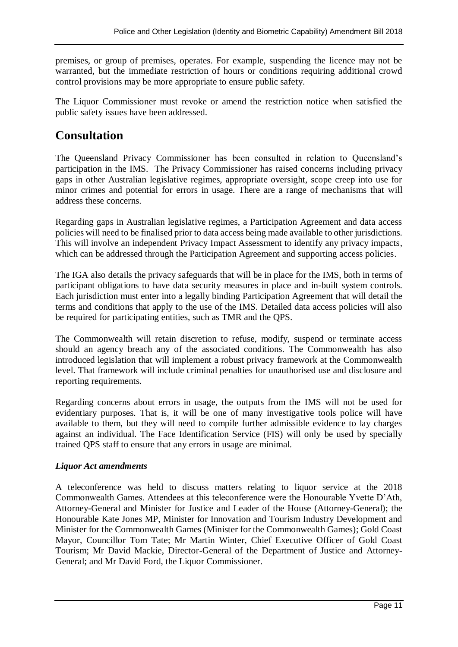premises, or group of premises, operates. For example, suspending the licence may not be warranted, but the immediate restriction of hours or conditions requiring additional crowd control provisions may be more appropriate to ensure public safety.

The Liquor Commissioner must revoke or amend the restriction notice when satisfied the public safety issues have been addressed.

## **Consultation**

The Queensland Privacy Commissioner has been consulted in relation to Queensland's participation in the IMS. The Privacy Commissioner has raised concerns including privacy gaps in other Australian legislative regimes, appropriate oversight, scope creep into use for minor crimes and potential for errors in usage. There are a range of mechanisms that will address these concerns.

Regarding gaps in Australian legislative regimes, a Participation Agreement and data access policies will need to be finalised prior to data access being made available to other jurisdictions. This will involve an independent Privacy Impact Assessment to identify any privacy impacts, which can be addressed through the Participation Agreement and supporting access policies.

The IGA also details the privacy safeguards that will be in place for the IMS, both in terms of participant obligations to have data security measures in place and in-built system controls. Each jurisdiction must enter into a legally binding Participation Agreement that will detail the terms and conditions that apply to the use of the IMS. Detailed data access policies will also be required for participating entities, such as TMR and the QPS.

The Commonwealth will retain discretion to refuse, modify, suspend or terminate access should an agency breach any of the associated conditions. The Commonwealth has also introduced legislation that will implement a robust privacy framework at the Commonwealth level. That framework will include criminal penalties for unauthorised use and disclosure and reporting requirements.

Regarding concerns about errors in usage, the outputs from the IMS will not be used for evidentiary purposes. That is, it will be one of many investigative tools police will have available to them, but they will need to compile further admissible evidence to lay charges against an individual. The Face Identification Service (FIS) will only be used by specially trained QPS staff to ensure that any errors in usage are minimal.

## *Liquor Act amendments*

A teleconference was held to discuss matters relating to liquor service at the 2018 Commonwealth Games. Attendees at this teleconference were the Honourable Yvette D'Ath, Attorney-General and Minister for Justice and Leader of the House (Attorney-General); the Honourable Kate Jones MP, Minister for Innovation and Tourism Industry Development and Minister for the Commonwealth Games (Minister for the Commonwealth Games); Gold Coast Mayor, Councillor Tom Tate; Mr Martin Winter, Chief Executive Officer of Gold Coast Tourism; Mr David Mackie, Director-General of the Department of Justice and Attorney-General; and Mr David Ford, the Liquor Commissioner.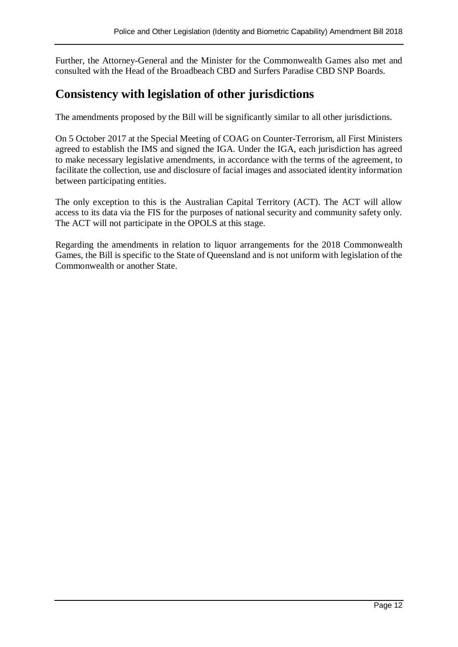Further, the Attorney-General and the Minister for the Commonwealth Games also met and consulted with the Head of the Broadbeach CBD and Surfers Paradise CBD SNP Boards.

## **Consistency with legislation of other jurisdictions**

The amendments proposed by the Bill will be significantly similar to all other jurisdictions.

On 5 October 2017 at the Special Meeting of COAG on Counter-Terrorism, all First Ministers agreed to establish the IMS and signed the IGA. Under the IGA, each jurisdiction has agreed to make necessary legislative amendments, in accordance with the terms of the agreement, to facilitate the collection, use and disclosure of facial images and associated identity information between participating entities.

The only exception to this is the Australian Capital Territory (ACT). The ACT will allow access to its data via the FIS for the purposes of national security and community safety only. The ACT will not participate in the OPOLS at this stage.

Regarding the amendments in relation to liquor arrangements for the 2018 Commonwealth Games, the Bill is specific to the State of Queensland and is not uniform with legislation of the Commonwealth or another State.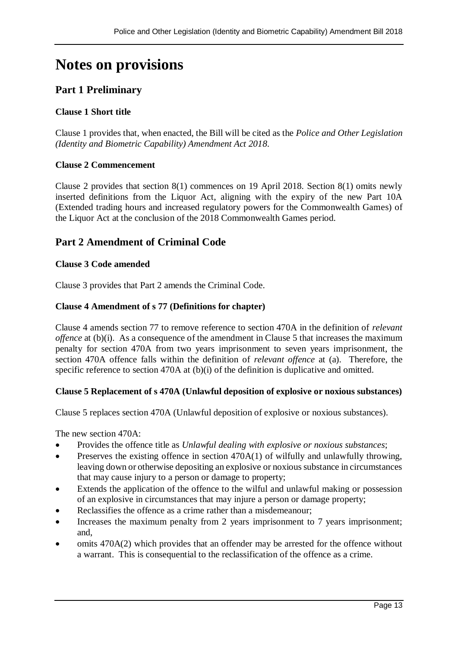# **Notes on provisions**

## **Part 1 Preliminary**

## **Clause 1 Short title**

Clause 1 provides that, when enacted, the Bill will be cited as the *Police and Other Legislation (Identity and Biometric Capability) Amendment Act 2018*.

#### **Clause 2 Commencement**

Clause 2 provides that section 8(1) commences on 19 April 2018. Section 8(1) omits newly inserted definitions from the Liquor Act, aligning with the expiry of the new Part 10A (Extended trading hours and increased regulatory powers for the Commonwealth Games) of the Liquor Act at the conclusion of the 2018 Commonwealth Games period.

## **Part 2 Amendment of Criminal Code**

#### **Clause 3 Code amended**

Clause 3 provides that Part 2 amends the Criminal Code.

#### **Clause 4 Amendment of s 77 (Definitions for chapter)**

Clause 4 amends section 77 to remove reference to section 470A in the definition of *relevant offence* at (b)(i). As a consequence of the amendment in Clause 5 that increases the maximum penalty for section 470A from two years imprisonment to seven years imprisonment, the section 470A offence falls within the definition of *relevant offence* at (a). Therefore, the specific reference to section 470A at (b)(i) of the definition is duplicative and omitted.

#### **Clause 5 Replacement of s 470A (Unlawful deposition of explosive or noxious substances)**

Clause 5 replaces section 470A (Unlawful deposition of explosive or noxious substances).

The new section 470A:

- Provides the offence title as *Unlawful dealing with explosive or noxious substances*;
- $\bullet$  Preserves the existing offence in section 470A(1) of wilfully and unlawfully throwing, leaving down or otherwise depositing an explosive or noxious substance in circumstances that may cause injury to a person or damage to property;
- Extends the application of the offence to the wilful and unlawful making or possession of an explosive in circumstances that may injure a person or damage property;
- Reclassifies the offence as a crime rather than a misdemeanour;
- Increases the maximum penalty from 2 years imprisonment to 7 years imprisonment; and,
- omits 470A(2) which provides that an offender may be arrested for the offence without a warrant. This is consequential to the reclassification of the offence as a crime.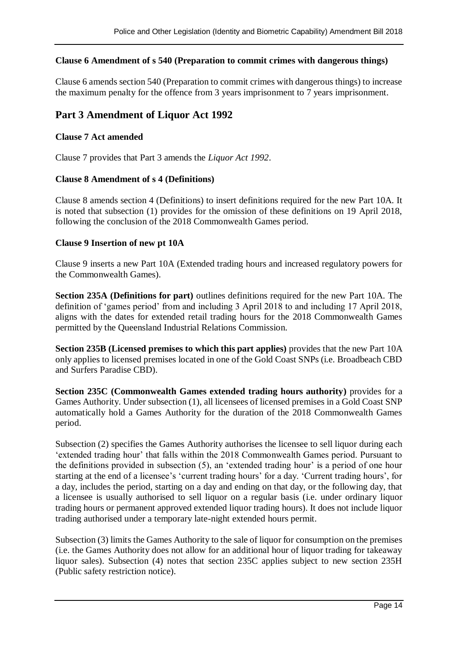#### **Clause 6 Amendment of s 540 (Preparation to commit crimes with dangerous things)**

Clause 6 amends section 540 (Preparation to commit crimes with dangerous things) to increase the maximum penalty for the offence from 3 years imprisonment to  $\overline{7}$  years imprisonment.

## **Part 3 Amendment of Liquor Act 1992**

#### **Clause 7 Act amended**

Clause 7 provides that Part 3 amends the *Liquor Act 1992*.

#### **Clause 8 Amendment of s 4 (Definitions)**

Clause 8 amends section 4 (Definitions) to insert definitions required for the new Part 10A. It is noted that subsection (1) provides for the omission of these definitions on 19 April 2018, following the conclusion of the 2018 Commonwealth Games period.

#### **Clause 9 Insertion of new pt 10A**

Clause 9 inserts a new Part 10A (Extended trading hours and increased regulatory powers for the Commonwealth Games).

**Section 235A (Definitions for part)** outlines definitions required for the new Part 10A. The definition of 'games period' from and including 3 April 2018 to and including 17 April 2018, aligns with the dates for extended retail trading hours for the 2018 Commonwealth Games permitted by the Queensland Industrial Relations Commission.

**Section 235B (Licensed premises to which this part applies)** provides that the new Part 10A only applies to licensed premises located in one of the Gold Coast SNPs (i.e. Broadbeach CBD and Surfers Paradise CBD).

**Section 235C (Commonwealth Games extended trading hours authority)** provides for a Games Authority. Under subsection (1), all licensees of licensed premises in a Gold Coast SNP automatically hold a Games Authority for the duration of the 2018 Commonwealth Games period.

Subsection (2) specifies the Games Authority authorises the licensee to sell liquor during each 'extended trading hour' that falls within the 2018 Commonwealth Games period. Pursuant to the definitions provided in subsection (5), an 'extended trading hour' is a period of one hour starting at the end of a licensee's 'current trading hours' for a day. 'Current trading hours', for a day, includes the period, starting on a day and ending on that day, or the following day, that a licensee is usually authorised to sell liquor on a regular basis (i.e. under ordinary liquor trading hours or permanent approved extended liquor trading hours). It does not include liquor trading authorised under a temporary late-night extended hours permit.

Subsection (3) limits the Games Authority to the sale of liquor for consumption on the premises (i.e. the Games Authority does not allow for an additional hour of liquor trading for takeaway liquor sales). Subsection (4) notes that section 235C applies subject to new section 235H (Public safety restriction notice).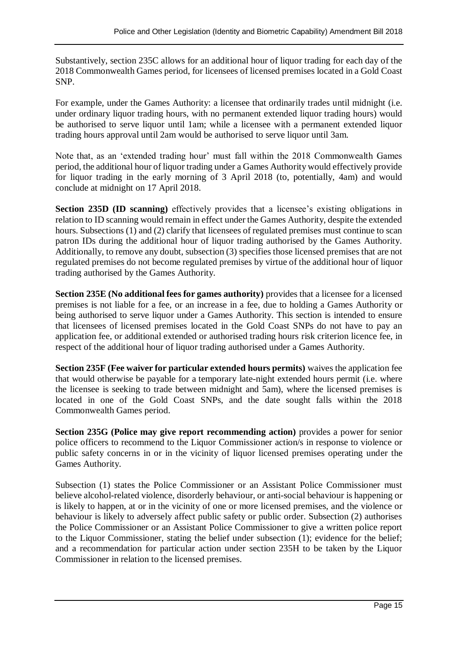Substantively, section 235C allows for an additional hour of liquor trading for each day of the 2018 Commonwealth Games period, for licensees of licensed premises located in a Gold Coast SNP.

For example, under the Games Authority: a licensee that ordinarily trades until midnight (i.e. under ordinary liquor trading hours, with no permanent extended liquor trading hours) would be authorised to serve liquor until 1am; while a licensee with a permanent extended liquor trading hours approval until 2am would be authorised to serve liquor until 3am.

Note that, as an 'extended trading hour' must fall within the 2018 Commonwealth Games period, the additional hour of liquor trading under a Games Authority would effectively provide for liquor trading in the early morning of 3 April 2018 (to, potentially, 4am) and would conclude at midnight on 17 April 2018.

**Section 235D (ID scanning)** effectively provides that a licensee's existing obligations in relation to ID scanning would remain in effect under the Games Authority, despite the extended hours. Subsections (1) and (2) clarify that licensees of regulated premises must continue to scan patron IDs during the additional hour of liquor trading authorised by the Games Authority. Additionally, to remove any doubt, subsection (3) specifies those licensed premises that are not regulated premises do not become regulated premises by virtue of the additional hour of liquor trading authorised by the Games Authority.

**Section 235E (No additional fees for games authority)** provides that a licensee for a licensed premises is not liable for a fee, or an increase in a fee, due to holding a Games Authority or being authorised to serve liquor under a Games Authority. This section is intended to ensure that licensees of licensed premises located in the Gold Coast SNPs do not have to pay an application fee, or additional extended or authorised trading hours risk criterion licence fee, in respect of the additional hour of liquor trading authorised under a Games Authority.

**Section 235F (Fee waiver for particular extended hours permits)** waives the application fee that would otherwise be payable for a temporary late-night extended hours permit (i.e. where the licensee is seeking to trade between midnight and 5am), where the licensed premises is located in one of the Gold Coast SNPs, and the date sought falls within the 2018 Commonwealth Games period.

**Section 235G (Police may give report recommending action)** provides a power for senior police officers to recommend to the Liquor Commissioner action/s in response to violence or public safety concerns in or in the vicinity of liquor licensed premises operating under the Games Authority.

Subsection (1) states the Police Commissioner or an Assistant Police Commissioner must believe alcohol-related violence, disorderly behaviour, or anti-social behaviour is happening or is likely to happen, at or in the vicinity of one or more licensed premises, and the violence or behaviour is likely to adversely affect public safety or public order. Subsection (2) authorises the Police Commissioner or an Assistant Police Commissioner to give a written police report to the Liquor Commissioner, stating the belief under subsection (1); evidence for the belief; and a recommendation for particular action under section 235H to be taken by the Liquor Commissioner in relation to the licensed premises.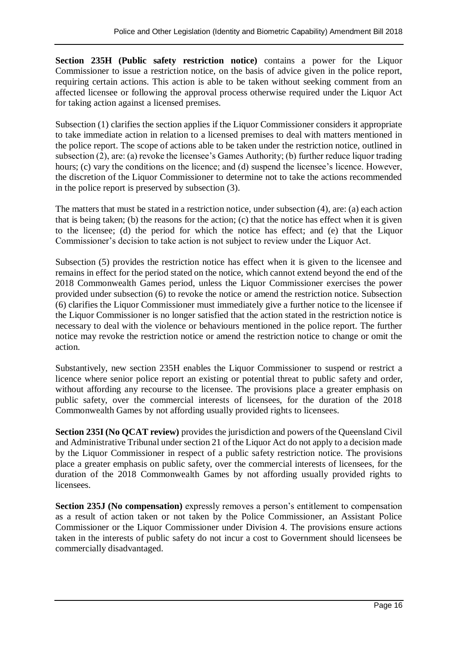**Section 235H (Public safety restriction notice)** contains a power for the Liquor Commissioner to issue a restriction notice, on the basis of advice given in the police report, requiring certain actions. This action is able to be taken without seeking comment from an affected licensee or following the approval process otherwise required under the Liquor Act for taking action against a licensed premises.

Subsection (1) clarifies the section applies if the Liquor Commissioner considers it appropriate to take immediate action in relation to a licensed premises to deal with matters mentioned in the police report. The scope of actions able to be taken under the restriction notice, outlined in subsection (2), are: (a) revoke the licensee's Games Authority; (b) further reduce liquor trading hours; (c) vary the conditions on the licence; and (d) suspend the licensee's licence. However, the discretion of the Liquor Commissioner to determine not to take the actions recommended in the police report is preserved by subsection (3).

The matters that must be stated in a restriction notice, under subsection (4), are: (a) each action that is being taken; (b) the reasons for the action; (c) that the notice has effect when it is given to the licensee; (d) the period for which the notice has effect; and (e) that the Liquor Commissioner's decision to take action is not subject to review under the Liquor Act.

Subsection (5) provides the restriction notice has effect when it is given to the licensee and remains in effect for the period stated on the notice, which cannot extend beyond the end of the 2018 Commonwealth Games period, unless the Liquor Commissioner exercises the power provided under subsection (6) to revoke the notice or amend the restriction notice. Subsection (6) clarifies the Liquor Commissioner must immediately give a further notice to the licensee if the Liquor Commissioner is no longer satisfied that the action stated in the restriction notice is necessary to deal with the violence or behaviours mentioned in the police report. The further notice may revoke the restriction notice or amend the restriction notice to change or omit the action.

Substantively, new section 235H enables the Liquor Commissioner to suspend or restrict a licence where senior police report an existing or potential threat to public safety and order, without affording any recourse to the licensee. The provisions place a greater emphasis on public safety, over the commercial interests of licensees, for the duration of the 2018 Commonwealth Games by not affording usually provided rights to licensees.

**Section 235I (No QCAT review)** provides the jurisdiction and powers of the Queensland Civil and Administrative Tribunal under section 21 of the Liquor Act do not apply to a decision made by the Liquor Commissioner in respect of a public safety restriction notice. The provisions place a greater emphasis on public safety, over the commercial interests of licensees, for the duration of the 2018 Commonwealth Games by not affording usually provided rights to licensees.

**Section 235J (No compensation)** expressly removes a person's entitlement to compensation as a result of action taken or not taken by the Police Commissioner, an Assistant Police Commissioner or the Liquor Commissioner under Division 4. The provisions ensure actions taken in the interests of public safety do not incur a cost to Government should licensees be commercially disadvantaged.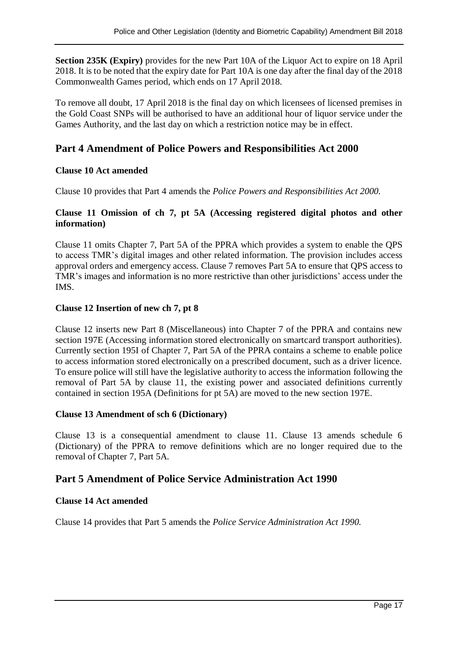**Section 235K (Expiry)** provides for the new Part 10A of the Liquor Act to expire on 18 April 2018. It is to be noted that the expiry date for Part 10A is one day after the final day of the 2018 Commonwealth Games period, which ends on 17 April 2018.

To remove all doubt, 17 April 2018 is the final day on which licensees of licensed premises in the Gold Coast SNPs will be authorised to have an additional hour of liquor service under the Games Authority, and the last day on which a restriction notice may be in effect.

## **Part 4 Amendment of Police Powers and Responsibilities Act 2000**

## **Clause 10 Act amended**

Clause 10 provides that Part 4 amends the *Police Powers and Responsibilities Act 2000.*

#### **Clause 11 Omission of ch 7, pt 5A (Accessing registered digital photos and other information)**

Clause 11 omits Chapter 7, Part 5A of the PPRA which provides a system to enable the QPS to access TMR's digital images and other related information. The provision includes access approval orders and emergency access. Clause 7 removes Part 5A to ensure that QPS access to TMR's images and information is no more restrictive than other jurisdictions' access under the IMS.

## **Clause 12 Insertion of new ch 7, pt 8**

Clause 12 inserts new Part 8 (Miscellaneous) into Chapter 7 of the PPRA and contains new section 197E (Accessing information stored electronically on smartcard transport authorities). Currently section 195I of Chapter 7, Part 5A of the PPRA contains a scheme to enable police to access information stored electronically on a prescribed document, such as a driver licence. To ensure police will still have the legislative authority to access the information following the removal of Part 5A by clause 11, the existing power and associated definitions currently contained in section 195A (Definitions for pt 5A) are moved to the new section 197E.

## **Clause 13 Amendment of sch 6 (Dictionary)**

Clause 13 is a consequential amendment to clause 11. Clause 13 amends schedule 6 (Dictionary) of the PPRA to remove definitions which are no longer required due to the removal of Chapter 7, Part 5A.

## **Part 5 Amendment of Police Service Administration Act 1990**

## **Clause 14 Act amended**

Clause 14 provides that Part 5 amends the *Police Service Administration Act 1990.*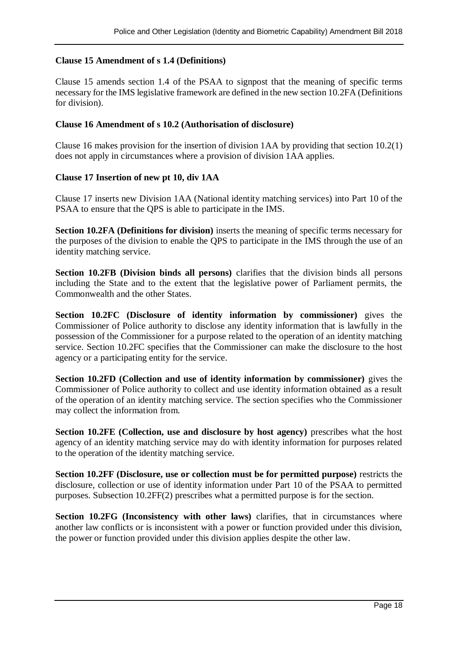#### **Clause 15 Amendment of s 1.4 (Definitions)**

Clause 15 amends section 1.4 of the PSAA to signpost that the meaning of specific terms necessary for the IMS legislative framework are defined in the new section 10.2FA (Definitions for division).

#### **Clause 16 Amendment of s 10.2 (Authorisation of disclosure)**

Clause 16 makes provision for the insertion of division 1AA by providing that section 10.2(1) does not apply in circumstances where a provision of division 1AA applies.

#### **Clause 17 Insertion of new pt 10, div 1AA**

Clause 17 inserts new Division 1AA (National identity matching services) into Part 10 of the PSAA to ensure that the QPS is able to participate in the IMS.

**Section 10.2FA (Definitions for division)** inserts the meaning of specific terms necessary for the purposes of the division to enable the QPS to participate in the IMS through the use of an identity matching service.

**Section 10.2FB (Division binds all persons)** clarifies that the division binds all persons including the State and to the extent that the legislative power of Parliament permits, the Commonwealth and the other States.

**Section 10.2FC (Disclosure of identity information by commissioner)** gives the Commissioner of Police authority to disclose any identity information that is lawfully in the possession of the Commissioner for a purpose related to the operation of an identity matching service. Section 10.2FC specifies that the Commissioner can make the disclosure to the host agency or a participating entity for the service.

**Section 10.2FD (Collection and use of identity information by commissioner)** gives the Commissioner of Police authority to collect and use identity information obtained as a result of the operation of an identity matching service. The section specifies who the Commissioner may collect the information from.

**Section 10.2FE (Collection, use and disclosure by host agency)** prescribes what the host agency of an identity matching service may do with identity information for purposes related to the operation of the identity matching service.

**Section 10.2FF (Disclosure, use or collection must be for permitted purpose)** restricts the disclosure, collection or use of identity information under Part 10 of the PSAA to permitted purposes. Subsection 10.2FF(2) prescribes what a permitted purpose is for the section.

**Section 10.2FG (Inconsistency with other laws)** clarifies, that in circumstances where another law conflicts or is inconsistent with a power or function provided under this division, the power or function provided under this division applies despite the other law.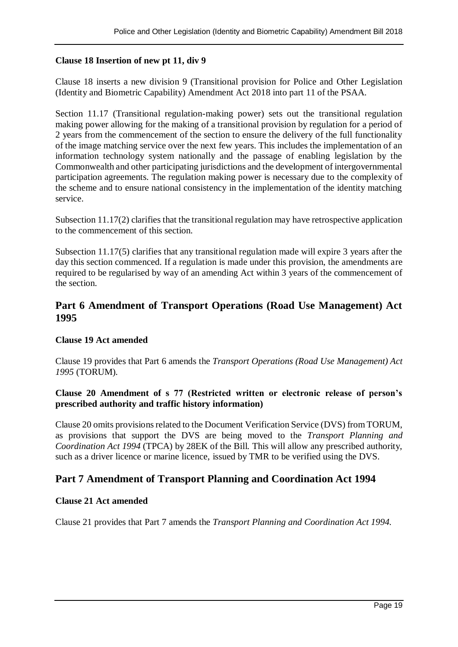#### **Clause 18 Insertion of new pt 11, div 9**

Clause 18 inserts a new division 9 (Transitional provision for Police and Other Legislation (Identity and Biometric Capability) Amendment Act 2018 into part 11 of the PSAA.

Section 11.17 (Transitional regulation-making power) sets out the transitional regulation making power allowing for the making of a transitional provision by regulation for a period of 2 years from the commencement of the section to ensure the delivery of the full functionality of the image matching service over the next few years. This includes the implementation of an information technology system nationally and the passage of enabling legislation by the Commonwealth and other participating jurisdictions and the development of intergovernmental participation agreements. The regulation making power is necessary due to the complexity of the scheme and to ensure national consistency in the implementation of the identity matching service.

Subsection 11.17(2) clarifies that the transitional regulation may have retrospective application to the commencement of this section.

Subsection 11.17(5) clarifies that any transitional regulation made will expire 3 years after the day this section commenced. If a regulation is made under this provision, the amendments are required to be regularised by way of an amending Act within 3 years of the commencement of the section.

## **Part 6 Amendment of Transport Operations (Road Use Management) Act 1995**

#### **Clause 19 Act amended**

Clause 19 provides that Part 6 amends the *Transport Operations (Road Use Management) Act 1995* (TORUM)*.*

#### **Clause 20 Amendment of s 77 (Restricted written or electronic release of person's prescribed authority and traffic history information)**

Clause 20 omits provisions related to the Document Verification Service (DVS) from TORUM, as provisions that support the DVS are being moved to the *Transport Planning and Coordination Act 1994* (TPCA) by 28EK of the Bill*.* This will allow any prescribed authority, such as a driver licence or marine licence, issued by TMR to be verified using the DVS.

## **Part 7 Amendment of Transport Planning and Coordination Act 1994**

#### **Clause 21 Act amended**

Clause 21 provides that Part 7 amends the *Transport Planning and Coordination Act 1994.*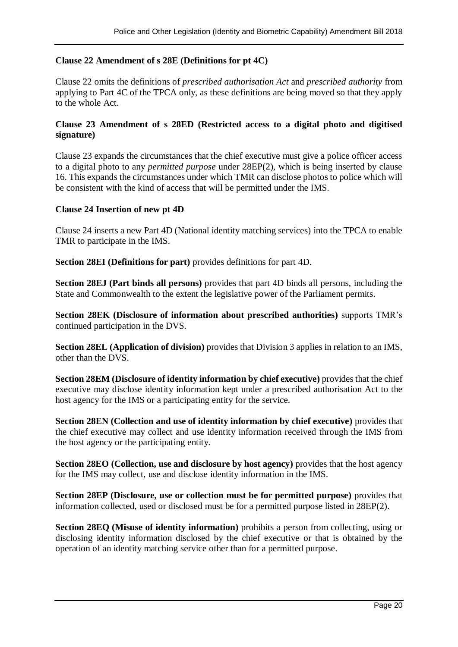#### **Clause 22 Amendment of s 28E (Definitions for pt 4C)**

Clause 22 omits the definitions of *prescribed authorisation Act* and *prescribed authority* from applying to Part 4C of the TPCA only, as these definitions are being moved so that they apply to the whole Act.

#### **Clause 23 Amendment of s 28ED (Restricted access to a digital photo and digitised signature)**

Clause 23 expands the circumstances that the chief executive must give a police officer access to a digital photo to any *permitted purpose* under 28EP(2), which is being inserted by clause 16. This expands the circumstances under which TMR can disclose photos to police which will be consistent with the kind of access that will be permitted under the IMS.

#### **Clause 24 Insertion of new pt 4D**

Clause 24 inserts a new Part 4D (National identity matching services) into the TPCA to enable TMR to participate in the IMS.

**Section 28EI (Definitions for part)** provides definitions for part 4D.

**Section 28EJ (Part binds all persons)** provides that part 4D binds all persons, including the State and Commonwealth to the extent the legislative power of the Parliament permits.

**Section 28EK (Disclosure of information about prescribed authorities)** supports TMR's continued participation in the DVS.

**Section 28EL (Application of division)** provides that Division 3 applies in relation to an IMS, other than the DVS.

**Section 28EM (Disclosure of identity information by chief executive)** provides that the chief executive may disclose identity information kept under a prescribed authorisation Act to the host agency for the IMS or a participating entity for the service.

**Section 28EN (Collection and use of identity information by chief executive)** provides that the chief executive may collect and use identity information received through the IMS from the host agency or the participating entity.

**Section 28EO (Collection, use and disclosure by host agency)** provides that the host agency for the IMS may collect, use and disclose identity information in the IMS.

**Section 28EP (Disclosure, use or collection must be for permitted purpose)** provides that information collected, used or disclosed must be for a permitted purpose listed in 28EP(2).

**Section 28EQ (Misuse of identity information)** prohibits a person from collecting, using or disclosing identity information disclosed by the chief executive or that is obtained by the operation of an identity matching service other than for a permitted purpose.